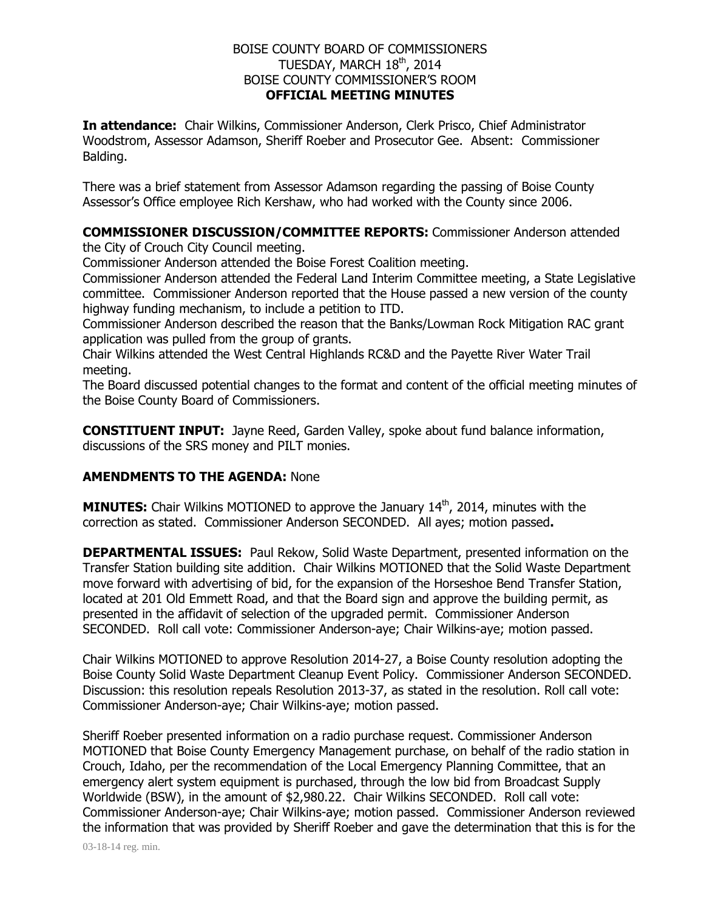## BOISE COUNTY BOARD OF COMMISSIONERS TUESDAY, MARCH  $18^{\text{th}}$ , 2014 BOISE COUNTY COMMISSIONER'S ROOM **OFFICIAL MEETING MINUTES**

**In attendance:** Chair Wilkins, Commissioner Anderson, Clerk Prisco, Chief Administrator Woodstrom, Assessor Adamson, Sheriff Roeber and Prosecutor Gee. Absent: Commissioner Balding.

There was a brief statement from Assessor Adamson regarding the passing of Boise County Assessor's Office employee Rich Kershaw, who had worked with the County since 2006.

## **COMMISSIONER DISCUSSION/COMMITTEE REPORTS:** Commissioner Anderson attended

the City of Crouch City Council meeting.

Commissioner Anderson attended the Boise Forest Coalition meeting.

Commissioner Anderson attended the Federal Land Interim Committee meeting, a State Legislative committee. Commissioner Anderson reported that the House passed a new version of the county highway funding mechanism, to include a petition to ITD.

Commissioner Anderson described the reason that the Banks/Lowman Rock Mitigation RAC grant application was pulled from the group of grants.

Chair Wilkins attended the West Central Highlands RC&D and the Payette River Water Trail meeting.

The Board discussed potential changes to the format and content of the official meeting minutes of the Boise County Board of Commissioners.

**CONSTITUENT INPUT:** Jayne Reed, Garden Valley, spoke about fund balance information, discussions of the SRS money and PILT monies.

## **AMENDMENTS TO THE AGENDA:** None

**MINUTES:** Chair Wilkins MOTIONED to approve the January 14<sup>th</sup>, 2014, minutes with the correction as stated. Commissioner Anderson SECONDED. All ayes; motion passed**.** 

**DEPARTMENTAL ISSUES:** Paul Rekow, Solid Waste Department, presented information on the Transfer Station building site addition. Chair Wilkins MOTIONED that the Solid Waste Department move forward with advertising of bid, for the expansion of the Horseshoe Bend Transfer Station, located at 201 Old Emmett Road, and that the Board sign and approve the building permit, as presented in the affidavit of selection of the upgraded permit. Commissioner Anderson SECONDED. Roll call vote: Commissioner Anderson-aye; Chair Wilkins-aye; motion passed.

Chair Wilkins MOTIONED to approve Resolution 2014-27, a Boise County resolution adopting the Boise County Solid Waste Department Cleanup Event Policy. Commissioner Anderson SECONDED. Discussion: this resolution repeals Resolution 2013-37, as stated in the resolution. Roll call vote: Commissioner Anderson-aye; Chair Wilkins-aye; motion passed.

Sheriff Roeber presented information on a radio purchase request. Commissioner Anderson MOTIONED that Boise County Emergency Management purchase, on behalf of the radio station in Crouch, Idaho, per the recommendation of the Local Emergency Planning Committee, that an emergency alert system equipment is purchased, through the low bid from Broadcast Supply Worldwide (BSW), in the amount of \$2,980.22. Chair Wilkins SECONDED. Roll call vote: Commissioner Anderson-aye; Chair Wilkins-aye; motion passed. Commissioner Anderson reviewed the information that was provided by Sheriff Roeber and gave the determination that this is for the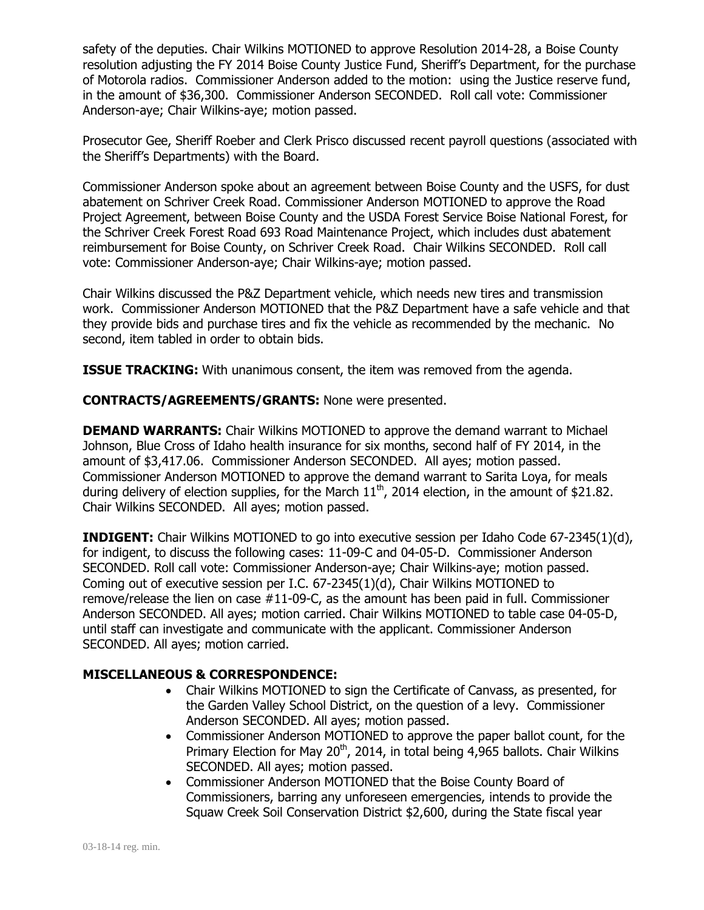safety of the deputies. Chair Wilkins MOTIONED to approve Resolution 2014-28, a Boise County resolution adjusting the FY 2014 Boise County Justice Fund, Sheriff's Department, for the purchase of Motorola radios. Commissioner Anderson added to the motion: using the Justice reserve fund, in the amount of \$36,300. Commissioner Anderson SECONDED. Roll call vote: Commissioner Anderson-aye; Chair Wilkins-aye; motion passed.

Prosecutor Gee, Sheriff Roeber and Clerk Prisco discussed recent payroll questions (associated with the Sheriff's Departments) with the Board.

Commissioner Anderson spoke about an agreement between Boise County and the USFS, for dust abatement on Schriver Creek Road. Commissioner Anderson MOTIONED to approve the Road Project Agreement, between Boise County and the USDA Forest Service Boise National Forest, for the Schriver Creek Forest Road 693 Road Maintenance Project, which includes dust abatement reimbursement for Boise County, on Schriver Creek Road. Chair Wilkins SECONDED. Roll call vote: Commissioner Anderson-aye; Chair Wilkins-aye; motion passed.

Chair Wilkins discussed the P&Z Department vehicle, which needs new tires and transmission work. Commissioner Anderson MOTIONED that the P&Z Department have a safe vehicle and that they provide bids and purchase tires and fix the vehicle as recommended by the mechanic. No second, item tabled in order to obtain bids.

**ISSUE TRACKING:** With unanimous consent, the item was removed from the agenda.

**CONTRACTS/AGREEMENTS/GRANTS:** None were presented.

**DEMAND WARRANTS:** Chair Wilkins MOTIONED to approve the demand warrant to Michael Johnson, Blue Cross of Idaho health insurance for six months, second half of FY 2014, in the amount of \$3,417.06. Commissioner Anderson SECONDED. All ayes; motion passed. Commissioner Anderson MOTIONED to approve the demand warrant to Sarita Loya, for meals during delivery of election supplies, for the March  $11<sup>th</sup>$ , 2014 election, in the amount of \$21.82. Chair Wilkins SECONDED. All ayes; motion passed.

**INDIGENT:** Chair Wilkins MOTIONED to go into executive session per Idaho Code 67-2345(1)(d), for indigent, to discuss the following cases: 11-09-C and 04-05-D. Commissioner Anderson SECONDED. Roll call vote: Commissioner Anderson-aye; Chair Wilkins-aye; motion passed. Coming out of executive session per I.C. 67-2345(1)(d), Chair Wilkins MOTIONED to remove/release the lien on case #11-09-C, as the amount has been paid in full. Commissioner Anderson SECONDED. All ayes; motion carried. Chair Wilkins MOTIONED to table case 04-05-D, until staff can investigate and communicate with the applicant. Commissioner Anderson SECONDED. All ayes; motion carried.

## **MISCELLANEOUS & CORRESPONDENCE:**

- Chair Wilkins MOTIONED to sign the Certificate of Canvass, as presented, for the Garden Valley School District, on the question of a levy. Commissioner Anderson SECONDED. All ayes; motion passed.
- Commissioner Anderson MOTIONED to approve the paper ballot count, for the Primary Election for May 20<sup>th</sup>, 2014, in total being 4,965 ballots. Chair Wilkins SECONDED. All ayes; motion passed.
- Commissioner Anderson MOTIONED that the Boise County Board of Commissioners, barring any unforeseen emergencies, intends to provide the Squaw Creek Soil Conservation District \$2,600, during the State fiscal year